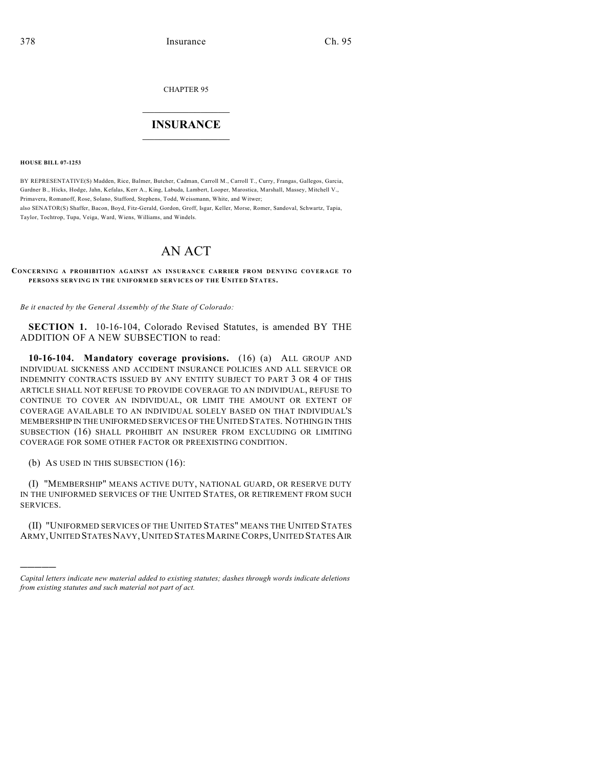CHAPTER 95

## $\mathcal{L}_\text{max}$  . The set of the set of the set of the set of the set of the set of the set of the set of the set of the set of the set of the set of the set of the set of the set of the set of the set of the set of the set **INSURANCE**  $\frac{1}{2}$  ,  $\frac{1}{2}$  ,  $\frac{1}{2}$  ,  $\frac{1}{2}$  ,  $\frac{1}{2}$  ,  $\frac{1}{2}$  ,  $\frac{1}{2}$

**HOUSE BILL 07-1253**

BY REPRESENTATIVE(S) Madden, Rice, Balmer, Butcher, Cadman, Carroll M., Carroll T., Curry, Frangas, Gallegos, Garcia, Gardner B., Hicks, Hodge, Jahn, Kefalas, Kerr A., King, Labuda, Lambert, Looper, Marostica, Marshall, Massey, Mitchell V., Primavera, Romanoff, Rose, Solano, Stafford, Stephens, Todd, Weissmann, White, and Witwer; also SENATOR(S) Shaffer, Bacon, Boyd, Fitz-Gerald, Gordon, Groff, Isgar, Keller, Morse, Romer, Sandoval, Schwartz, Tapia, Taylor, Tochtrop, Tupa, Veiga, Ward, Wiens, Williams, and Windels.

## AN ACT

**CONCERNING A PROHIBITION AGAINST AN INSURANCE CARRIER FROM DENYING COVERAGE TO PERSONS SERVING IN THE UNIFORMED SERVICES OF THE UNITED STATES.**

*Be it enacted by the General Assembly of the State of Colorado:*

**SECTION 1.** 10-16-104, Colorado Revised Statutes, is amended BY THE ADDITION OF A NEW SUBSECTION to read:

**10-16-104. Mandatory coverage provisions.** (16) (a) ALL GROUP AND INDIVIDUAL SICKNESS AND ACCIDENT INSURANCE POLICIES AND ALL SERVICE OR INDEMNITY CONTRACTS ISSUED BY ANY ENTITY SUBJECT TO PART 3 OR 4 OF THIS ARTICLE SHALL NOT REFUSE TO PROVIDE COVERAGE TO AN INDIVIDUAL, REFUSE TO CONTINUE TO COVER AN INDIVIDUAL, OR LIMIT THE AMOUNT OR EXTENT OF COVERAGE AVAILABLE TO AN INDIVIDUAL SOLELY BASED ON THAT INDIVIDUAL'S MEMBERSHIP IN THE UNIFORMED SERVICES OF THE UNITED STATES. NOTHING IN THIS SUBSECTION (16) SHALL PROHIBIT AN INSURER FROM EXCLUDING OR LIMITING COVERAGE FOR SOME OTHER FACTOR OR PREEXISTING CONDITION.

(b) AS USED IN THIS SUBSECTION (16):

)))))

(I) "MEMBERSHIP" MEANS ACTIVE DUTY, NATIONAL GUARD, OR RESERVE DUTY IN THE UNIFORMED SERVICES OF THE UNITED STATES, OR RETIREMENT FROM SUCH SERVICES.

(II) "UNIFORMED SERVICES OF THE UNITED STATES" MEANS THE UNITED STATES ARMY,UNITED STATESNAVY,UNITED STATESMARINE CORPS,UNITED STATESAIR

*Capital letters indicate new material added to existing statutes; dashes through words indicate deletions from existing statutes and such material not part of act.*